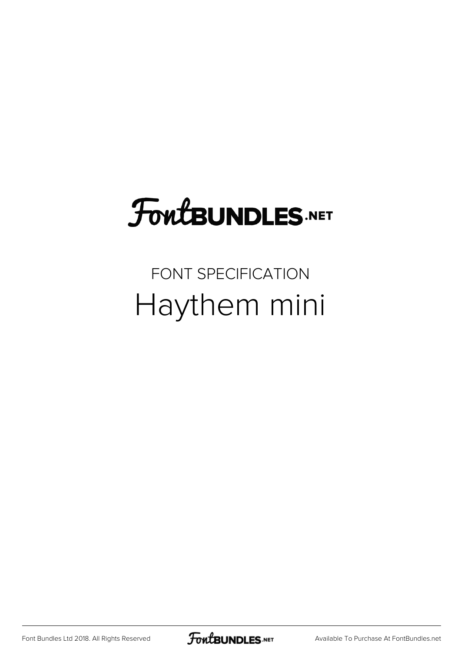# **FoutBUNDLES.NET**

### FONT SPECIFICATION Haythem mini

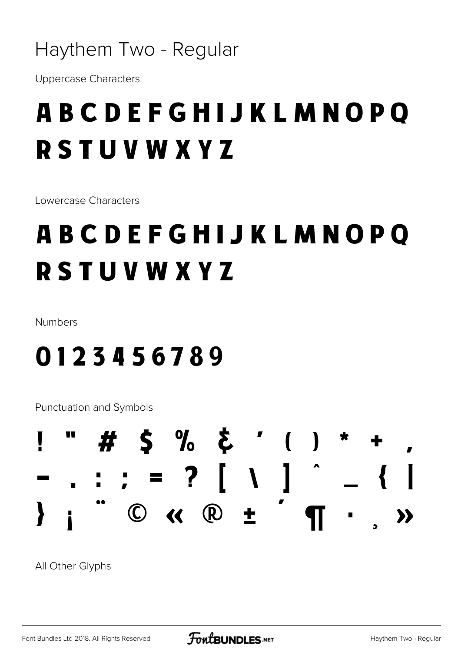#### Haythem Two - Regular

**Uppercase Characters** 

## **ABCDEFGHIJKLMNOPO RSTUVWXYZ**

Lowercase Characters

## **ABCDEFGHIJKLMNOPO RSTUVWXYZ**

Numbers

### 0123456789

**Punctuation and Symbols** 



All Other Glyphs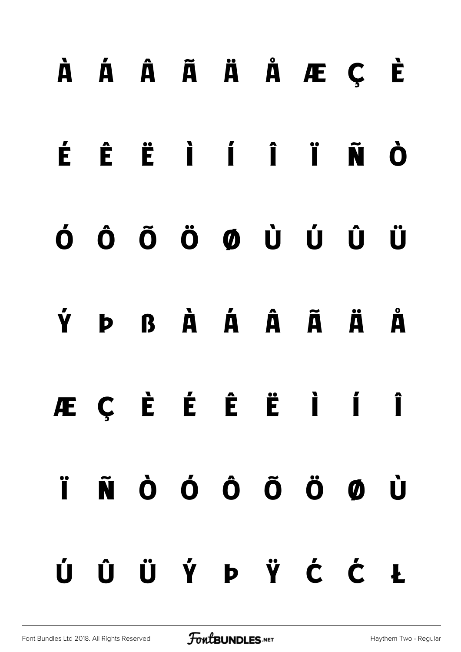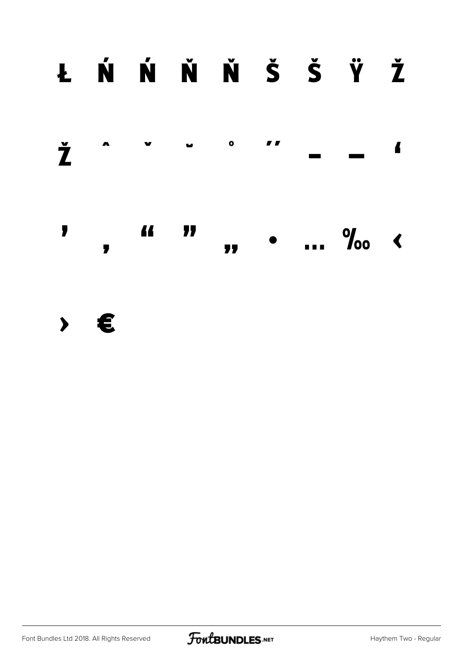## ŁŃŃŇŇŠŠŸŽ



> €

Font Bundles Ltd 2018. All Rights Reserved

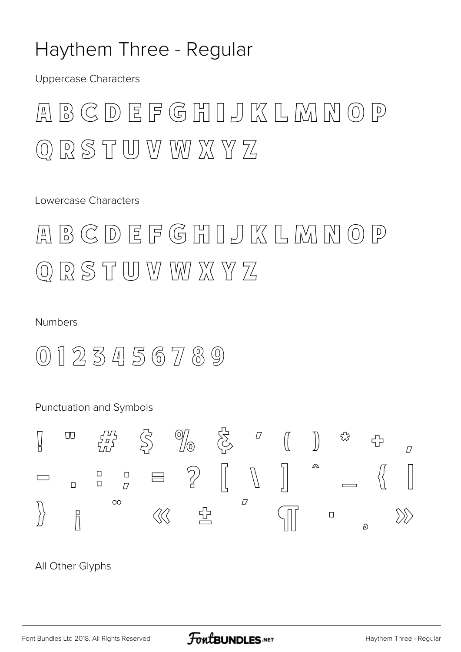#### Haythem Three - Regular

**Uppercase Characters** 

#### $B G D E F G H I J K L M N O P$  $\left| \underline{\Delta} \right|$ ORSTUVWXYZ

Lowercase Characters

 $B G D E F G H I J K L M N O P$  $\left| \underline{A} \right|$  $Q$   $R$   $S$   $T$   $U$   $W$   $W$   $X$   $Y$   $Z$ 

#### Numbers

 $(0) 1 2 3 4 5 6 7 8 9$ 

Punctuation and Symbols



All Other Glyphs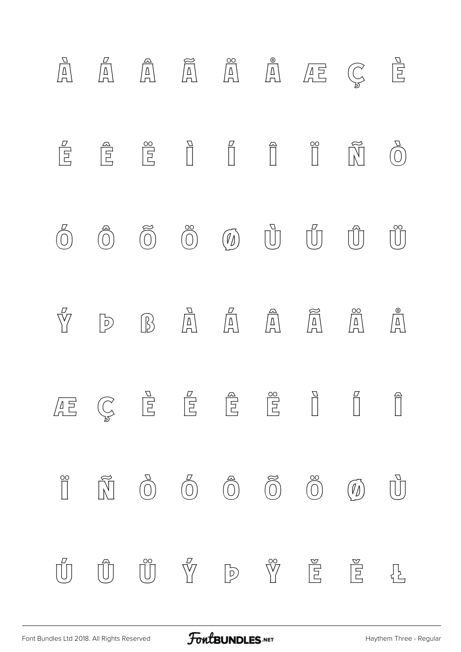